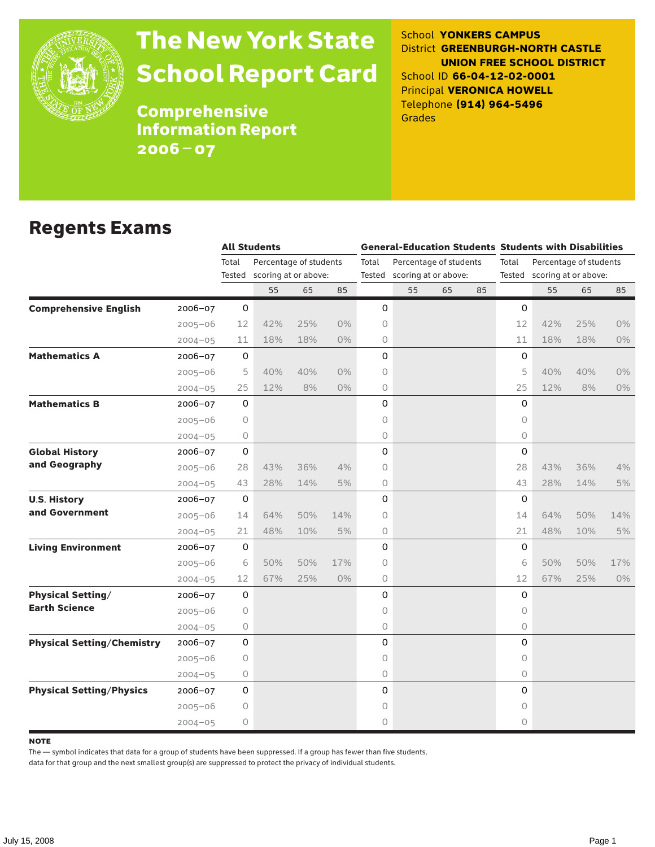

# The New York State School Report Card

School **YONKERS CAMPUS** District **GREENBURGH-NORTH CASTLE UNION FREE SCHOOL DISTRICT** School ID **66-04-12-02-0001** Principal **VERONICA HOWELL** Telephone **(914) 964-5496** Grades

**Comprehensive** Information Report 2006–07

#### Regents Exams

|                                   |             |              | <b>All Students</b>    |                             |       | <b>General-Education Students Students with Disabilities</b> |                             |    |    |                     |                             |     |       |
|-----------------------------------|-------------|--------------|------------------------|-----------------------------|-------|--------------------------------------------------------------|-----------------------------|----|----|---------------------|-----------------------------|-----|-------|
|                                   |             | Total        | Percentage of students |                             |       | Total                                                        | Percentage of students      |    |    | Total               | Percentage of students      |     |       |
|                                   |             |              |                        | Tested scoring at or above: |       |                                                              | Tested scoring at or above: |    |    |                     | Tested scoring at or above: |     |       |
|                                   |             |              | 55                     | 65                          | 85    |                                                              | 55                          | 65 | 85 |                     | 55                          | 65  | 85    |
| <b>Comprehensive English</b>      | $2006 - 07$ | 0            |                        |                             |       | 0                                                            |                             |    |    | 0                   |                             |     |       |
|                                   | $2005 - 06$ | 12           | 42%                    | 25%                         | $0\%$ | 0                                                            |                             |    |    | 12                  | 42%                         | 25% | 0%    |
|                                   | $2004 - 05$ | 11           | 18%                    | 18%                         | $0\%$ | 0                                                            |                             |    |    | 11                  | 18%                         | 18% | $0\%$ |
| <b>Mathematics A</b>              | 2006-07     | $\mathbf 0$  |                        |                             |       | 0                                                            |                             |    |    | 0                   |                             |     |       |
|                                   | $2005 - 06$ | 5            | 40%                    | 40%                         | $0\%$ | 0                                                            |                             |    |    | 5                   | 40%                         | 40% | 0%    |
|                                   | $2004 - 05$ | 25           | 12%                    | 8%                          | $0\%$ | 0                                                            |                             |    |    | 25                  | 12%                         | 8%  | 0%    |
| <b>Mathematics B</b>              | 2006-07     | 0            |                        |                             |       | 0                                                            |                             |    |    | 0                   |                             |     |       |
|                                   | $2005 - 06$ | 0            |                        |                             |       | 0                                                            |                             |    |    | $\circ$             |                             |     |       |
|                                   | $2004 - 05$ | 0            |                        |                             |       | 0                                                            |                             |    |    | $\circ$             |                             |     |       |
| <b>Global History</b>             | $2006 - 07$ | 0            |                        |                             |       | 0                                                            |                             |    |    | 0                   |                             |     |       |
| and Geography                     | $2005 - 06$ | 28           | 43%                    | 36%                         | 4%    | 0                                                            |                             |    |    | 28                  | 43%                         | 36% | 4%    |
|                                   | $2004 - 05$ | 43           | 28%                    | 14%                         | 5%    | 0                                                            |                             |    |    | 43                  | 28%                         | 14% | 5%    |
| <b>U.S. History</b>               | 2006-07     | $\mathsf{O}$ |                        |                             |       | 0                                                            |                             |    |    | $\mathsf{O}\xspace$ |                             |     |       |
| and Government                    | $2005 - 06$ | 14           | 64%                    | 50%                         | 14%   | 0                                                            |                             |    |    | 14                  | 64%                         | 50% | 14%   |
|                                   | $2004 - 05$ | 21           | 48%                    | 10%                         | 5%    | 0                                                            |                             |    |    | 21                  | 48%                         | 10% | 5%    |
| <b>Living Environment</b>         | 2006-07     | 0            |                        |                             |       | 0                                                            |                             |    |    | 0                   |                             |     |       |
|                                   | $2005 - 06$ | 6            | 50%                    | 50%                         | 17%   | 0                                                            |                             |    |    | 6                   | 50%                         | 50% | 17%   |
|                                   | $2004 - 05$ | 12           | 67%                    | 25%                         | 0%    | 0                                                            |                             |    |    | 12                  | 67%                         | 25% | 0%    |
| <b>Physical Setting/</b>          | 2006-07     | 0            |                        |                             |       | 0                                                            |                             |    |    | 0                   |                             |     |       |
| <b>Earth Science</b>              | $2005 - 06$ | 0            |                        |                             |       | 0                                                            |                             |    |    | $\circ$             |                             |     |       |
|                                   | $2004 - 05$ | 0            |                        |                             |       | 0                                                            |                             |    |    | $\circ$             |                             |     |       |
| <b>Physical Setting/Chemistry</b> | 2006-07     | 0            |                        |                             |       | 0                                                            |                             |    |    | 0                   |                             |     |       |
|                                   | $2005 - 06$ | 0            |                        |                             |       | 0                                                            |                             |    |    | $\circ$             |                             |     |       |
|                                   | $2004 - 05$ | 0            |                        |                             |       | 0                                                            |                             |    |    | $\circ$             |                             |     |       |
| <b>Physical Setting/Physics</b>   | 2006-07     | 0            |                        |                             |       | 0                                                            |                             |    |    | $\mathsf{O}$        |                             |     |       |
|                                   | $2005 - 06$ | 0            |                        |                             |       | 0                                                            |                             |    |    | 0                   |                             |     |       |
|                                   | $2004 - 05$ | 0            |                        |                             |       | 0                                                            |                             |    |    | $\circ$             |                             |     |       |

#### **NOTE**

The — symbol indicates that data for a group of students have been suppressed. If a group has fewer than five students,

data for that group and the next smallest group(s) are suppressed to protect the privacy of individual students.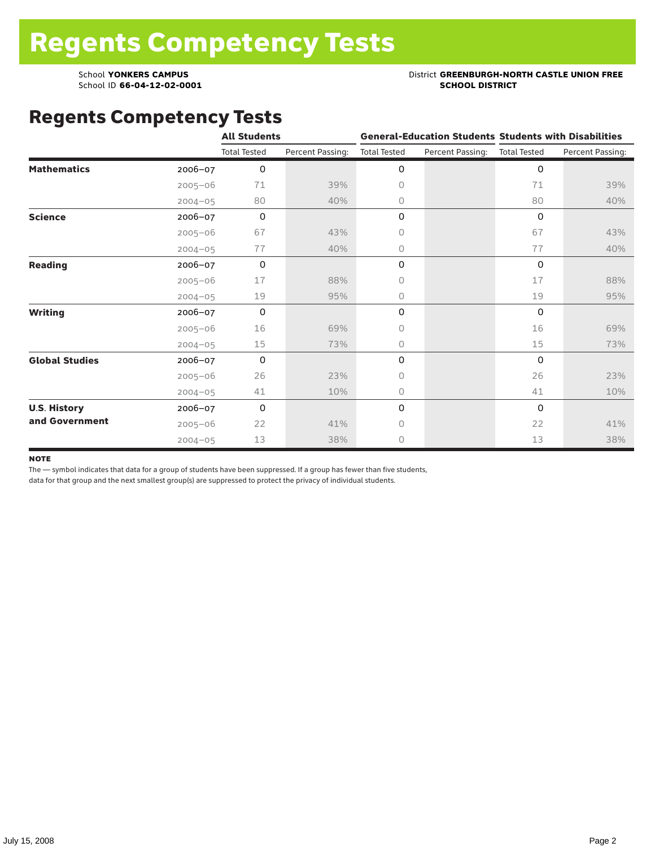School ID 66-04-12-02-0001

#### School **YONKERS CAMPUS**<br>
School ID 66-04-12-02-0001<br>
School ID 66-04-12-02-0001

### Regents Competency Tests

|                       |             | <b>All Students</b> |                  |                     |                  | <b>General-Education Students Students with Disabilities</b> |                  |  |
|-----------------------|-------------|---------------------|------------------|---------------------|------------------|--------------------------------------------------------------|------------------|--|
|                       |             | <b>Total Tested</b> | Percent Passing: | <b>Total Tested</b> | Percent Passing: | <b>Total Tested</b>                                          | Percent Passing: |  |
| <b>Mathematics</b>    | 2006-07     | 0                   |                  | 0                   |                  | 0                                                            |                  |  |
|                       | $2005 - 06$ | 71                  | 39%              | $\circ$             |                  | 71                                                           | 39%              |  |
|                       | $2004 - 05$ | 80                  | 40%              | 0                   |                  | 80                                                           | 40%              |  |
| <b>Science</b>        | 2006-07     | 0                   |                  | 0                   |                  | $\Omega$                                                     |                  |  |
|                       | $2005 - 06$ | 67                  | 43%              | 0                   |                  | 67                                                           | 43%              |  |
|                       | $2004 - 05$ | 77                  | 40%              | $\circ$             |                  | 77                                                           | 40%              |  |
| <b>Reading</b>        | 2006-07     | 0                   |                  | 0                   |                  | 0                                                            |                  |  |
|                       | $2005 - 06$ | 17                  | 88%              | $\circ$             |                  | 17                                                           | 88%              |  |
|                       | $2004 - 05$ | 19                  | 95%              | $\circ$             |                  | 19                                                           | 95%              |  |
| <b>Writing</b>        | 2006-07     | 0                   |                  | 0                   |                  | $\Omega$                                                     |                  |  |
|                       | $2005 - 06$ | 16                  | 69%              | $\circ$             |                  | 16                                                           | 69%              |  |
|                       | $2004 - 05$ | 15                  | 73%              | 0                   |                  | 15                                                           | 73%              |  |
| <b>Global Studies</b> | 2006-07     | 0                   |                  | $\mathsf O$         |                  | $\Omega$                                                     |                  |  |
|                       | $2005 - 06$ | 26                  | 23%              | $\circ$             |                  | 26                                                           | 23%              |  |
|                       | $2004 - 05$ | 41                  | 10%              | 0                   |                  | 41                                                           | 10%              |  |
| <b>U.S. History</b>   | 2006-07     | 0                   |                  | 0                   |                  | $\mathbf 0$                                                  |                  |  |
| and Government        | $2005 - 06$ | 22                  | 41%              | $\circ$             |                  | 22                                                           | 41%              |  |
|                       | $2004 - 05$ | 13                  | 38%              | $\circ$             |                  | 13                                                           | 38%              |  |

#### **NOTE**

The — symbol indicates that data for a group of students have been suppressed. If a group has fewer than five students,

data for that group and the next smallest group(s) are suppressed to protect the privacy of individual students.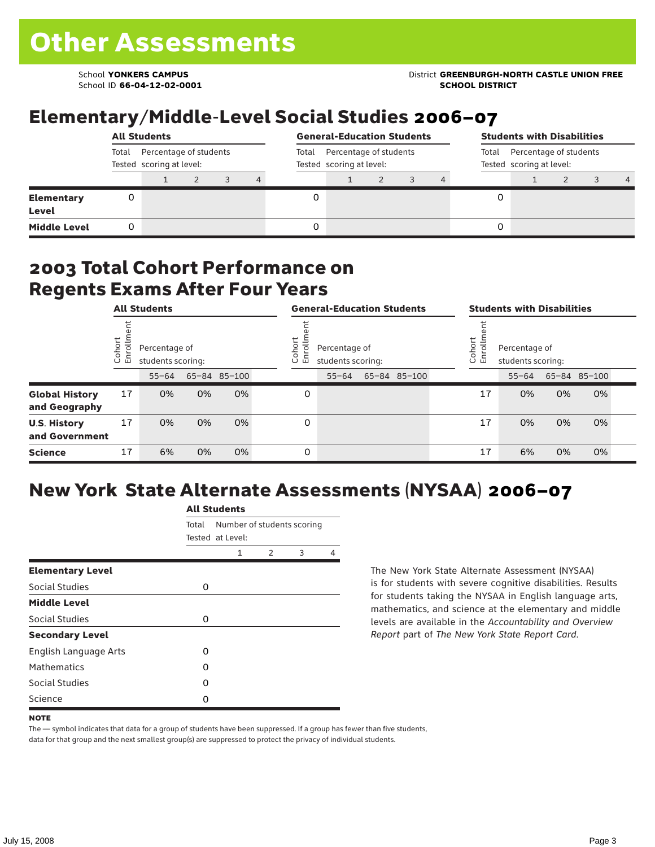School ID **66-04-12-02-0001 SCHOOL DISTRICT**

#### School **YONKERS CAMPUS** District **GREENBURGH-NORTH CASTLE UNION FREE**

### Elementary/Middle-Level Social Studies 2006–07

|                            | <b>All Students</b>                                         |  |  |  |                                                             |  | <b>General-Education Students</b> |  |                                                             |  | <b>Students with Disabilities</b> |  |  |  |                |
|----------------------------|-------------------------------------------------------------|--|--|--|-------------------------------------------------------------|--|-----------------------------------|--|-------------------------------------------------------------|--|-----------------------------------|--|--|--|----------------|
|                            | Percentage of students<br>Total<br>Tested scoring at level: |  |  |  | Percentage of students<br>Total<br>Tested scoring at level: |  |                                   |  | Percentage of students<br>Total<br>Tested scoring at level: |  |                                   |  |  |  |                |
|                            |                                                             |  |  |  | 4                                                           |  |                                   |  |                                                             |  |                                   |  |  |  | $\overline{4}$ |
| <b>Elementary</b><br>Level |                                                             |  |  |  |                                                             |  |                                   |  |                                                             |  |                                   |  |  |  |                |
| <b>Middle Level</b>        |                                                             |  |  |  |                                                             |  |                                   |  |                                                             |  |                                   |  |  |  |                |

#### 2003 Total Cohort Performance on Regents Exams After Four Years

|                                        |                   | <b>All Students</b>                |    |              |                  | <b>General-Education Students</b>  |  |              |                                                             | <b>Students with Disabilities</b> |           |    |              |  |
|----------------------------------------|-------------------|------------------------------------|----|--------------|------------------|------------------------------------|--|--------------|-------------------------------------------------------------|-----------------------------------|-----------|----|--------------|--|
|                                        | Cohort<br>Enrollm | Percentage of<br>students scoring: |    |              | Cohort<br>ㅎ<br>띧 | Percentage of<br>students scoring: |  |              | Cohort<br>Ξ<br>Percentage of<br>ā<br>훕<br>students scoring: |                                   |           |    |              |  |
|                                        |                   | $55 - 64$                          |    | 65-84 85-100 |                  | $55 - 64$                          |  | 65-84 85-100 |                                                             |                                   | $55 - 64$ |    | 65-84 85-100 |  |
| <b>Global History</b><br>and Geography | 17                | 0%                                 | 0% | 0%           | 0                |                                    |  |              |                                                             | 17                                | 0%        | 0% | 0%           |  |
| <b>U.S. History</b><br>and Government  | 17                | 0%                                 | 0% | 0%           | 0                |                                    |  |              |                                                             | 17                                | 0%        | 0% | 0%           |  |
| <b>Science</b>                         | 17                | 6%                                 | 0% | 0%           | 0                |                                    |  |              |                                                             | 17                                | 6%        | 0% | 0%           |  |

# New York State Alternate Assessments (NYSAA) 2006–07

|                         | <b>All Students</b> |                                                |               |   |   |  |  |  |  |
|-------------------------|---------------------|------------------------------------------------|---------------|---|---|--|--|--|--|
|                         | Total               | Number of students scoring<br>Tested at Level: |               |   |   |  |  |  |  |
|                         |                     | 1                                              | $\mathcal{P}$ | 3 | 4 |  |  |  |  |
| <b>Elementary Level</b> |                     |                                                |               |   |   |  |  |  |  |
| Social Studies          | 0                   |                                                |               |   |   |  |  |  |  |
| <b>Middle Level</b>     |                     |                                                |               |   |   |  |  |  |  |
| Social Studies          | 0                   |                                                |               |   |   |  |  |  |  |
| <b>Secondary Level</b>  |                     |                                                |               |   |   |  |  |  |  |
| English Language Arts   | O                   |                                                |               |   |   |  |  |  |  |
| <b>Mathematics</b>      | O                   |                                                |               |   |   |  |  |  |  |
| Social Studies          | O                   |                                                |               |   |   |  |  |  |  |
| Science                 | 0                   |                                                |               |   |   |  |  |  |  |

The New York State Alternate Assessment (NYSAA) is for students with severe cognitive disabilities. Results for students taking the NYSAA in English language arts, mathematics, and science at the elementary and middle levels are available in the *Accountability and Overview Report* part of *The New York State Report Card*.

The — symbol indicates that data for a group of students have been suppressed. If a group has fewer than five students, data for that group and the next smallest group(s) are suppressed to protect the privacy of individual students.

**NOTE**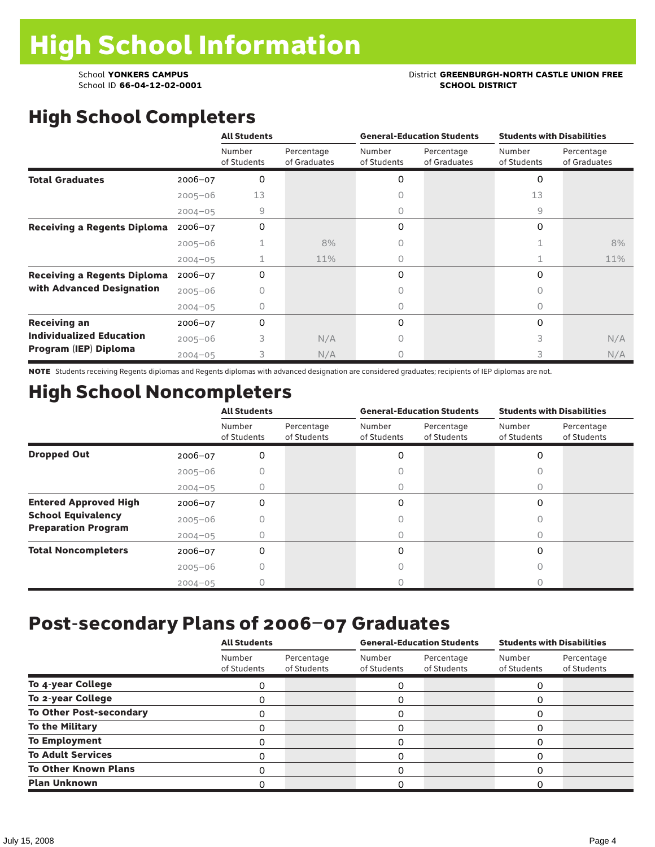School ID 66-04-12-02-0001

## School **YONKERS CAMPUS**<br>
School ID 66-04-12-02-0001<br>
School ID 66-04-12-02-0001

# High School Completers

|                                    |             | <b>All Students</b>   |                            |                       | <b>General-Education Students</b> | <b>Students with Disabilities</b> |                            |  |
|------------------------------------|-------------|-----------------------|----------------------------|-----------------------|-----------------------------------|-----------------------------------|----------------------------|--|
|                                    |             | Number<br>of Students | Percentage<br>of Graduates | Number<br>of Students | Percentage<br>of Graduates        | Number<br>of Students             | Percentage<br>of Graduates |  |
| <b>Total Graduates</b>             | $2006 - 07$ | 0                     |                            | 0                     |                                   | 0                                 |                            |  |
|                                    | $2005 - 06$ | 13                    |                            | Ω                     |                                   | 13                                |                            |  |
|                                    | $2004 - 05$ | 9                     |                            | 0                     |                                   | 9                                 |                            |  |
| <b>Receiving a Regents Diploma</b> | $2006 - 07$ | 0                     |                            | 0                     |                                   | 0                                 |                            |  |
|                                    | $2005 - 06$ |                       | 8%                         | $\circ$               |                                   |                                   | 8%                         |  |
|                                    | $2004 - 05$ |                       | 11%                        | 0                     |                                   |                                   | 11%                        |  |
| <b>Receiving a Regents Diploma</b> | $2006 - 07$ | 0                     |                            | 0                     |                                   | 0                                 |                            |  |
| with Advanced Designation          | $2005 - 06$ | 0                     |                            | 0                     |                                   | Ω                                 |                            |  |
|                                    | $2004 - 05$ | Ω                     |                            | 0                     |                                   | 0                                 |                            |  |
| <b>Receiving an</b>                | 2006-07     | 0                     |                            | 0                     |                                   | 0                                 |                            |  |
| <b>Individualized Education</b>    | $2005 - 06$ | 3                     | N/A                        | 0                     |                                   | 3                                 | N/A                        |  |
| Program (IEP) Diploma              | $2004 - 05$ | 3                     | N/A                        | $\circ$               |                                   | 3                                 | N/A                        |  |

NOTE Students receiving Regents diplomas and Regents diplomas with advanced designation are considered graduates; recipients of IEP diplomas are not.

## High School Noncompleters

|                              |             | <b>All Students</b>   |                           |                       | <b>General-Education Students</b> | <b>Students with Disabilities</b> |                           |  |
|------------------------------|-------------|-----------------------|---------------------------|-----------------------|-----------------------------------|-----------------------------------|---------------------------|--|
|                              |             | Number<br>of Students | Percentage<br>of Students | Number<br>of Students | Percentage<br>of Students         | Number<br>of Students             | Percentage<br>of Students |  |
| <b>Dropped Out</b>           | 2006-07     | 0                     |                           | 0                     |                                   | 0                                 |                           |  |
|                              | $2005 - 06$ |                       |                           | Ω                     |                                   |                                   |                           |  |
|                              | $2004 - 05$ |                       |                           | 0                     |                                   | O                                 |                           |  |
| <b>Entered Approved High</b> | 2006-07     | 0                     |                           | 0                     |                                   | 0                                 |                           |  |
| <b>School Equivalency</b>    | $2005 - 06$ |                       |                           |                       |                                   |                                   |                           |  |
| <b>Preparation Program</b>   | $2004 - 05$ |                       |                           | 0                     |                                   | $\bigcap$                         |                           |  |
| <b>Total Noncompleters</b>   | $2006 - 07$ | 0                     |                           | 0                     |                                   | 0                                 |                           |  |
|                              | $2005 - 06$ |                       |                           |                       |                                   |                                   |                           |  |
|                              | $2004 - 05$ |                       |                           |                       |                                   |                                   |                           |  |

### Post-secondary Plans of 2006–07 Graduates

|                                | <b>All Students</b>   |                           |                       | <b>General-Education Students</b> | <b>Students with Disabilities</b> |                           |  |
|--------------------------------|-----------------------|---------------------------|-----------------------|-----------------------------------|-----------------------------------|---------------------------|--|
|                                | Number<br>of Students | Percentage<br>of Students | Number<br>of Students | Percentage<br>of Students         | Number<br>of Students             | Percentage<br>of Students |  |
| To 4-year College              | 0                     |                           | 0                     |                                   | 0                                 |                           |  |
| To 2-year College              |                       |                           | 0                     |                                   | O                                 |                           |  |
| <b>To Other Post-secondary</b> | 0                     |                           | 0                     |                                   | 0                                 |                           |  |
| <b>To the Military</b>         | Ω                     |                           | 0                     |                                   | 0                                 |                           |  |
| <b>To Employment</b>           |                       |                           | 0                     |                                   | O                                 |                           |  |
| <b>To Adult Services</b>       | Ω                     |                           | 0                     |                                   | O                                 |                           |  |
| <b>To Other Known Plans</b>    |                       |                           | 0                     |                                   | O                                 |                           |  |
| <b>Plan Unknown</b>            |                       |                           | 0                     |                                   |                                   |                           |  |